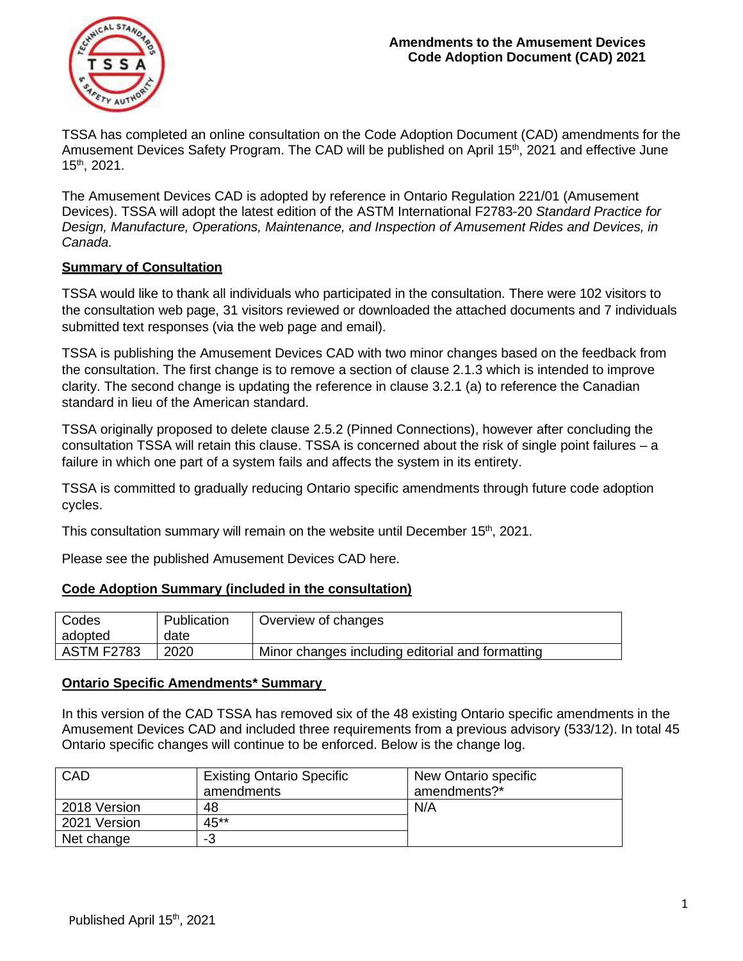

TSSA has completed an online consultation on the Code Adoption Document (CAD) amendments for the Amusement Devices Safety Program. The CAD will be published on April 15<sup>th</sup>, 2021 and effective June 15th, 2021.

The Amusement Devices CAD is adopted by reference in Ontario Regulation 221/01 (Amusement Devices). TSSA will adopt the latest edition of the ASTM International F2783-20 *Standard Practice for Design, Manufacture, Operations, Maintenance, and Inspection of Amusement Rides and Devices, in Canada.* 

## **Summary of Consultation**

TSSA would like to thank all individuals who participated in the consultation. There were 102 visitors to the consultation web page, 31 visitors reviewed or downloaded the attached documents and 7 individuals submitted text responses (via the web page and email).

TSSA is publishing the Amusement Devices CAD with two minor changes based on the feedback from the consultation. The first change is to remove a section of clause 2.1.3 which is intended to improve clarity. The second change is updating the reference in clause 3.2.1 (a) to reference the Canadian standard in lieu of the American standard.

TSSA originally proposed to delete clause 2.5.2 (Pinned Connections), however after concluding the consultation TSSA will retain this clause. TSSA is concerned about the risk of single point failures – a failure in which one part of a system fails and affects the system in its entirety.

TSSA is committed to gradually reducing Ontario specific amendments through future code adoption cycles.

This consultation summary will remain on the website until December 15<sup>th</sup>, 2021.

Please see the published Amusement Devices CAD [here.](https://www.tssa.org/en/amusement-devices/legislation-and-regulatory-information.aspx)

## **Code Adoption Summary (included in the consultation)**

| Codes             | Publication | Overview of changes                              |
|-------------------|-------------|--------------------------------------------------|
| adopted           | date        |                                                  |
| <b>ASTM F2783</b> | 2020        | Minor changes including editorial and formatting |

## **Ontario Specific Amendments\* Summary**

In this version of the CAD TSSA has removed six of the 48 existing Ontario specific amendments in the Amusement Devices CAD and included three requirements from a previous advisory (533/12). In total 45 Ontario specific changes will continue to be enforced. Below is the change log.

| CAD          | <b>Existing Ontario Specific</b> | New Ontario specific |
|--------------|----------------------------------|----------------------|
|              | amendments                       | amendments?*         |
| 2018 Version | 48                               | N/A                  |
| 2021 Version | 45**                             |                      |
| Net change   | -3                               |                      |